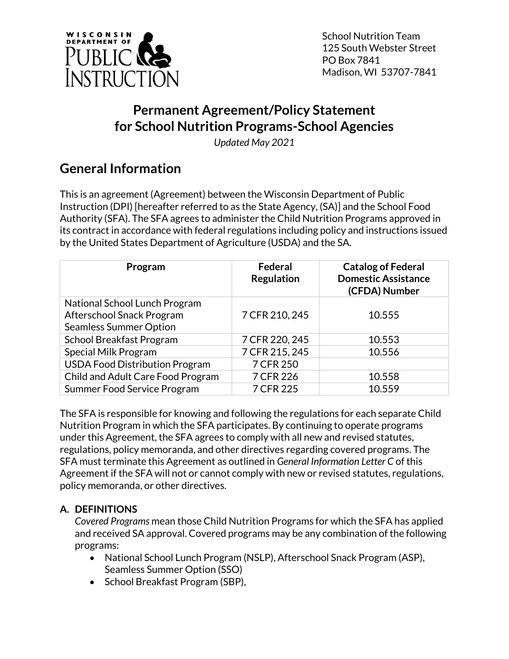

School Nutrition Team 125 South Webster Street PO Box 7841 Madison, WI 53707-7841

# **Permanent Agreement/Policy Statement for School Nutrition Programs-School Agencies**

*Updated May 2021*

# **General Information**

This is an agreement (Agreement) between the Wisconsin Department of Public Instruction (DPI) [hereafter referred to as the State Agency, (SA)] and the School Food Authority (SFA). The SFA agrees to administer the Child Nutrition Programs approved in its contract in accordance with federal regulations including policy and instructions issued by the United States Department of Agriculture (USDA) and the SA.

| Program                               | Federal<br><b>Regulation</b> | <b>Catalog of Federal</b><br><b>Domestic Assistance</b><br>(CFDA) Number |
|---------------------------------------|------------------------------|--------------------------------------------------------------------------|
| National School Lunch Program         |                              |                                                                          |
| Afterschool Snack Program             | 7 CFR 210, 245               | 10.555                                                                   |
| <b>Seamless Summer Option</b>         |                              |                                                                          |
| School Breakfast Program              | 7 CFR 220, 245               | 10.553                                                                   |
| Special Milk Program                  | 7 CFR 215, 245               | 10.556                                                                   |
| <b>USDA Food Distribution Program</b> | 7 CFR 250                    |                                                                          |
| Child and Adult Care Food Program     | 7 CFR 226                    | 10.558                                                                   |
| Summer Food Service Program           | 7 CFR 225                    | 10.559                                                                   |

The SFA is responsible for knowing and following the regulations for each separate Child Nutrition Program in which the SFA participates. By continuing to operate programs under this Agreement, the SFA agrees to comply with all new and revised statutes, regulations, policy memoranda, and other directives regarding covered programs. The SFA must terminate this Agreement as outlined in *General Information Letter C* of this Agreement if the SFA will not or cannot comply with new or revised statutes, regulations, policy memoranda, or other directives.

### **A. DEFINITIONS**

*Covered Programs* mean those Child Nutrition Programs for which the SFA has applied and received SA approval. Covered programs may be any combination of the following programs:

- National School Lunch Program (NSLP), Afterschool Snack Program (ASP), Seamless Summer Option (SSO)
- School Breakfast Program (SBP),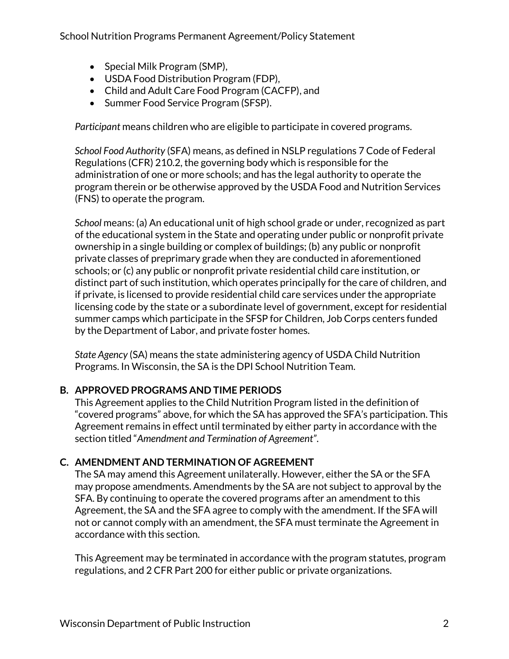School Nutrition Programs Permanent Agreement/Policy Statement

- Special Milk Program (SMP),
- USDA Food Distribution Program (FDP),
- Child and Adult Care Food Program (CACFP), and
- Summer Food Service Program (SFSP).

*Participant* means children who are eligible to participate in covered programs.

*School Food Authority* (SFA) means, as defined in NSLP regulations 7 Code of Federal Regulations (CFR) 210.2, the governing body which is responsible for the administration of one or more schools; and has the legal authority to operate the program therein or be otherwise approved by the USDA Food and Nutrition Services (FNS) to operate the program.

*School* means: (a) An educational unit of high school grade or under, recognized as part of the educational system in the State and operating under public or nonprofit private ownership in a single building or complex of buildings; (b) any public or nonprofit private classes of preprimary grade when they are conducted in aforementioned schools; or (c) any public or nonprofit private residential child care institution, or distinct part of such institution, which operates principally for the care of children, and if private, is licensed to provide residential child care services under the appropriate licensing code by the state or a subordinate level of government, except for residential summer camps which participate in the SFSP for Children, Job Corps centers funded by the Department of Labor, and private foster homes.

*State Agency* (SA) means the state administering agency of USDA Child Nutrition Programs. In Wisconsin, the SA is the DPI School Nutrition Team.

### **B. APPROVED PROGRAMS AND TIME PERIODS**

This Agreement applies to the Child Nutrition Program listed in the definition of "covered programs" above, for which the SA has approved the SFA's participation. This Agreement remains in effect until terminated by either party in accordance with the section titled "*Amendment and Termination of Agreement"*.

### **C. AMENDMENT AND TERMINATION OF AGREEMENT**

The SA may amend this Agreement unilaterally. However, either the SA or the SFA may propose amendments. Amendments by the SA are not subject to approval by the SFA. By continuing to operate the covered programs after an amendment to this Agreement, the SA and the SFA agree to comply with the amendment. If the SFA will not or cannot comply with an amendment, the SFA must terminate the Agreement in accordance with this section.

This Agreement may be terminated in accordance with the program statutes, program regulations, and 2 CFR Part 200 for either public or private organizations.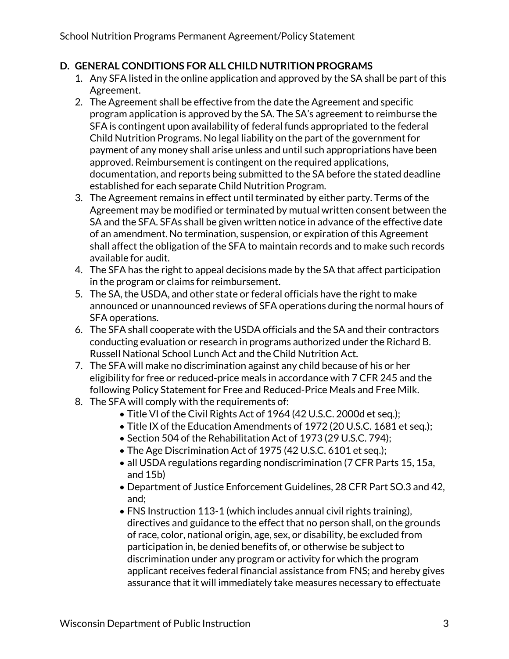### **D. GENERAL CONDITIONS FOR ALL CHILD NUTRITION PROGRAMS**

- 1. Any SFA listed in the online application and approved by the SA shall be part of this Agreement.
- 2. The Agreement shall be effective from the date the Agreement and specific program application is approved by the SA. The SA's agreement to reimburse the SFA is contingent upon availability of federal funds appropriated to the federal Child Nutrition Programs. No legal liability on the part of the government for payment of any money shall arise unless and until such appropriations have been approved. Reimbursement is contingent on the required applications, documentation, and reports being submitted to the SA before the stated deadline established for each separate Child Nutrition Program.
- 3. The Agreement remains in effect until terminated by either party. Terms of the Agreement may be modified or terminated by mutual written consent between the SA and the SFA. SFAs shall be given written notice in advance of the effective date of an amendment. No termination, suspension, or expiration of this Agreement shall affect the obligation of the SFA to maintain records and to make such records available for audit.
- 4. The SFA has the right to appeal decisions made by the SA that affect participation in the program or claims for reimbursement.
- 5. The SA, the USDA, and other state or federal officials have the right to make announced or unannounced reviews of SFA operations during the normal hours of SFA operations.
- 6. The SFA shall cooperate with the USDA officials and the SA and their contractors conducting evaluation or research in programs authorized under the Richard B. Russell National School Lunch Act and the Child Nutrition Act.
- 7. The SFA will make no discrimination against any child because of his or her eligibility for free or reduced-price meals in accordance with 7 CFR 245 and the following Policy Statement for Free and Reduced-Price Meals and Free Milk.
- 8. The SFA will comply with the requirements of:
	- Title VI of the Civil Rights Act of 1964 (42 U.S.C. 2000d et seq.);
	- Title IX of the Education Amendments of 1972 (20 U.S.C. 1681 et seq.);
	- Section 504 of the Rehabilitation Act of 1973 (29 U.S.C. 794);
	- The Age Discrimination Act of 1975 (42 U.S.C. 6101 et seq.);
	- all USDA regulations regarding nondiscrimination (7 CFR Parts 15, 15a, and 15b)
	- Department of Justice Enforcement Guidelines, 28 CFR Part SO.3 and 42, and;
	- FNS Instruction 113-1 (which includes annual civil rights training), directives and guidance to the effect that no person shall, on the grounds of race, color, national origin, age, sex, or disability, be excluded from participation in, be denied benefits of, or otherwise be subject to discrimination under any program or activity for which the program applicant receives federal financial assistance from FNS; and hereby gives assurance that it will immediately take measures necessary to effectuate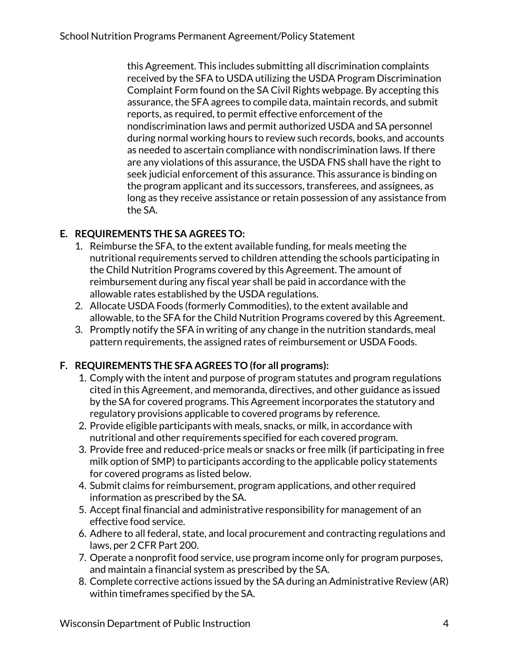this Agreement. This includes submitting all discrimination complaints received by the SFA to USDA utilizing the USDA Program Discrimination Complaint Form found on the SA Civil Rights webpage. By accepting this assurance, the SFA agrees to compile data, maintain records, and submit reports, as required, to permit effective enforcement of the nondiscrimination laws and permit authorized USDA and SA personnel during normal working hours to review such records, books, and accounts as needed to ascertain compliance with nondiscrimination laws. If there are any violations of this assurance, the USDA FNS shall have the right to seek judicial enforcement of this assurance. This assurance is binding on the program applicant and its successors, transferees, and assignees, as long as they receive assistance or retain possession of any assistance from the SA.

### **E. REQUIREMENTS THE SA AGREES TO:**

- 1. Reimburse the SFA, to the extent available funding, for meals meeting the nutritional requirements served to children attending the schools participating in the Child Nutrition Programs covered by this Agreement. The amount of reimbursement during any fiscal year shall be paid in accordance with the allowable rates established by the USDA regulations.
- 2. Allocate USDA Foods (formerly Commodities), to the extent available and allowable, to the SFA for the Child Nutrition Programs covered by this Agreement.
- 3. Promptly notify the SFA in writing of any change in the nutrition standards, meal pattern requirements, the assigned rates of reimbursement or USDA Foods.

### **F. REQUIREMENTS THE SFA AGREES TO (for all programs):**

- 1. Comply with the intent and purpose of program statutes and program regulations cited in this Agreement, and memoranda, directives, and other guidance as issued by the SA for covered programs. This Agreement incorporates the statutory and regulatory provisions applicable to covered programs by reference.
- 2. Provide eligible participants with meals, snacks, or milk, in accordance with nutritional and other requirements specified for each covered program.
- 3. Provide free and reduced-price meals or snacks or free milk (if participating in free milk option of SMP) to participants according to the applicable policy statements for covered programs as listed below.
- 4. Submit claims for reimbursement, program applications, and other required information as prescribed by the SA.
- 5. Accept final financial and administrative responsibility for management of an effective food service.
- 6. Adhere to all federal, state, and local procurement and contracting regulations and laws, per 2 CFR Part 200.
- 7. Operate a nonprofit food service, use program income only for program purposes, and maintain a financial system as prescribed by the SA.
- 8. Complete corrective actions issued by the SA during an Administrative Review (AR) within timeframes specified by the SA.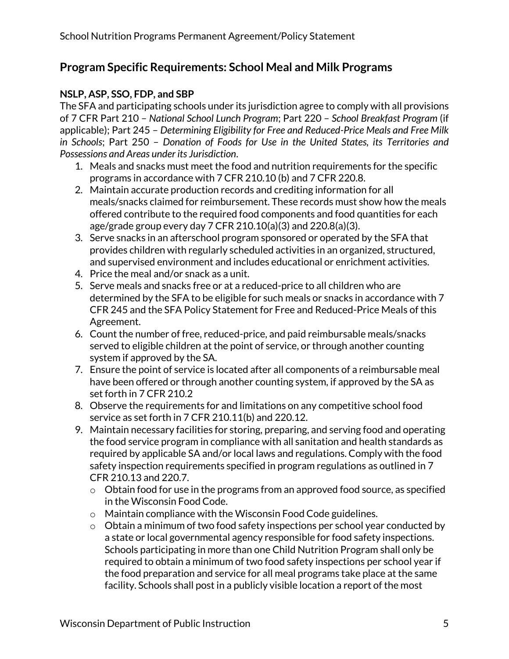### **Program Specific Requirements: School Meal and Milk Programs**

### **NSLP, ASP, SSO, FDP, and SBP**

The SFA and participating schools under its jurisdiction agree to comply with all provisions of 7 CFR Part 210 – *National School Lunch Program*; Part 220 – *School Breakfast Program* (if applicable); Part 245 – *Determining Eligibility for Free and Reduced-Price Meals and Free Milk in Schools*; Part 250 – *Donation of Foods for Use in the United States, its Territories and Possessions and Areas under its Jurisdiction*.

- 1. Meals and snacks must meet the food and nutrition requirements for the specific programs in accordance with 7 CFR 210.10 (b) and 7 CFR 220.8.
- 2. Maintain accurate production records and crediting information for all meals/snacks claimed for reimbursement. These records must show how the meals offered contribute to the required food components and food quantities for each age/grade group every day 7 CFR 210.10(a)(3) and 220.8(a)(3).
- 3. Serve snacks in an afterschool program sponsored or operated by the SFA that provides children with regularly scheduled activities in an organized, structured, and supervised environment and includes educational or enrichment activities.
- 4. Price the meal and/or snack as a unit.
- 5. Serve meals and snacks free or at a reduced-price to all children who are determined by the SFA to be eligible for such meals or snacks in accordance with 7 CFR 245 and the SFA Policy Statement for Free and Reduced-Price Meals of this Agreement.
- 6. Count the number of free, reduced-price, and paid reimbursable meals/snacks served to eligible children at the point of service, or through another counting system if approved by the SA.
- 7. Ensure the point of service is located after all components of a reimbursable meal have been offered or through another counting system, if approved by the SA as set forth in 7 CFR 210.2
- 8. Observe the requirements for and limitations on any competitive school food service as set forth in 7 CFR 210.11(b) and 220.12.
- 9. Maintain necessary facilities for storing, preparing, and serving food and operating the food service program in compliance with all sanitation and health standards as required by applicable SA and/or local laws and regulations. Comply with the food safety inspection requirements specified in program regulations as outlined in 7 CFR 210.13 and 220.7.
	- $\circ$  Obtain food for use in the programs from an approved food source, as specified in the Wisconsin Food Code.
	- o Maintain compliance with the Wisconsin Food Code guidelines.
	- $\circ$  Obtain a minimum of two food safety inspections per school year conducted by a state or local governmental agency responsible for food safety inspections. Schools participating in more than one Child Nutrition Program shall only be required to obtain a minimum of two food safety inspections per school year if the food preparation and service for all meal programs take place at the same facility. Schools shall post in a publicly visible location a report of the most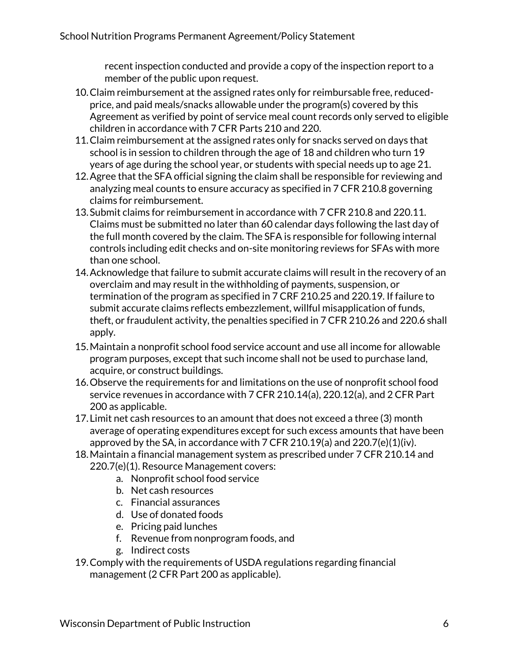recent inspection conducted and provide a copy of the inspection report to a member of the public upon request.

- 10.Claim reimbursement at the assigned rates only for reimbursable free, reducedprice, and paid meals/snacks allowable under the program(s) covered by this Agreement as verified by point of service meal count records only served to eligible children in accordance with 7 CFR Parts 210 and 220.
- 11.Claim reimbursement at the assigned rates only for snacks served on days that school is in session to children through the age of 18 and children who turn 19 years of age during the school year, or students with special needs up to age 21.
- 12.Agree that the SFA official signing the claim shall be responsible for reviewing and analyzing meal counts to ensure accuracy as specified in 7 CFR 210.8 governing claims for reimbursement.
- 13.Submit claims for reimbursement in accordance with 7 CFR 210.8 and 220.11. Claims must be submitted no later than 60 calendar days following the last day of the full month covered by the claim. The SFA is responsible for following internal controls including edit checks and on-site monitoring reviews for SFAs with more than one school.
- 14.Acknowledge that failure to submit accurate claims will result in the recovery of an overclaim and may result in the withholding of payments, suspension, or termination of the program as specified in 7 CRF 210.25 and 220.19. If failure to submit accurate claims reflects embezzlement, willful misapplication of funds, theft, or fraudulent activity, the penalties specified in 7 CFR 210.26 and 220.6 shall apply.
- 15.Maintain a nonprofit school food service account and use all income for allowable program purposes, except that such income shall not be used to purchase land, acquire, or construct buildings.
- 16.Observe the requirements for and limitations on the use of nonprofit school food service revenues in accordance with 7 CFR 210.14(a), 220.12(a), and 2 CFR Part 200 as applicable.
- 17.Limit net cash resources to an amount that does not exceed a three (3) month average of operating expenditures except for such excess amounts that have been approved by the SA, in accordance with  $7$  CFR 210.19(a) and 220.7(e)(1)(iv).
- 18.Maintain a financial management system as prescribed under 7 CFR 210.14 and 220.7(e)(1). Resource Management covers:
	- a. Nonprofit school food service
		- b. Net cash resources
		- c. Financial assurances
		- d. Use of donated foods
		- e. Pricing paid lunches
		- f. Revenue from nonprogram foods, and
	- g. Indirect costs
- 19.Comply with the requirements of USDA regulations regarding financial management (2 CFR Part 200 as applicable).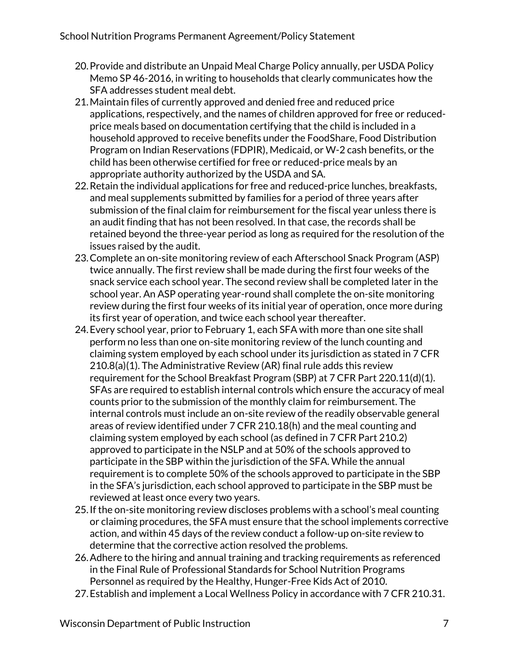- 20.Provide and distribute an Unpaid Meal Charge Policy annually, per USDA Policy Memo SP 46-2016, in writing to households that clearly communicates how the SFA addresses student meal debt.
- 21.Maintain files of currently approved and denied free and reduced price applications, respectively, and the names of children approved for free or reducedprice meals based on documentation certifying that the child is included in a household approved to receive benefits under the FoodShare, Food Distribution Program on Indian Reservations (FDPIR), Medicaid, or W-2 cash benefits, or the child has been otherwise certified for free or reduced-price meals by an appropriate authority authorized by the USDA and SA.
- 22.Retain the individual applications for free and reduced-price lunches, breakfasts, and meal supplements submitted by families for a period of three years after submission of the final claim for reimbursement for the fiscal year unless there is an audit finding that has not been resolved. In that case, the records shall be retained beyond the three-year period as long as required for the resolution of the issues raised by the audit.
- 23.Complete an on-site monitoring review of each Afterschool Snack Program (ASP) twice annually. The first review shall be made during the first four weeks of the snack service each school year. The second review shall be completed later in the school year. An ASP operating year-round shall complete the on-site monitoring review during the first four weeks of its initial year of operation, once more during its first year of operation, and twice each school year thereafter.
- 24.Every school year, prior to February 1, each SFA with more than one site shall perform no less than one on-site monitoring review of the lunch counting and claiming system employed by each school under its jurisdiction as stated in 7 CFR 210.8(a)(1). The Administrative Review (AR) final rule adds this review requirement for the School Breakfast Program (SBP) at 7 CFR Part 220.11(d)(1). SFAs are required to establish internal controls which ensure the accuracy of meal counts prior to the submission of the monthly claim for reimbursement. The internal controls must include an on-site review of the readily observable general areas of review identified under 7 CFR 210.18(h) and the meal counting and claiming system employed by each school (as defined in 7 CFR Part 210.2) approved to participate in the NSLP and at 50% of the schools approved to participate in the SBP within the jurisdiction of the SFA. While the annual requirement is to complete 50% of the schools approved to participate in the SBP in the SFA's jurisdiction, each school approved to participate in the SBP must be reviewed at least once every two years.
- 25.If the on-site monitoring review discloses problems with a school's meal counting or claiming procedures, the SFA must ensure that the school implements corrective action, and within 45 days of the review conduct a follow-up on-site review to determine that the corrective action resolved the problems.
- 26.Adhere to the hiring and annual training and tracking requirements as referenced in the Final Rule of Professional Standards for School Nutrition Programs Personnel as required by the Healthy, Hunger-Free Kids Act of 2010.
- 27.Establish and implement a Local Wellness Policy in accordance with 7 CFR 210.31.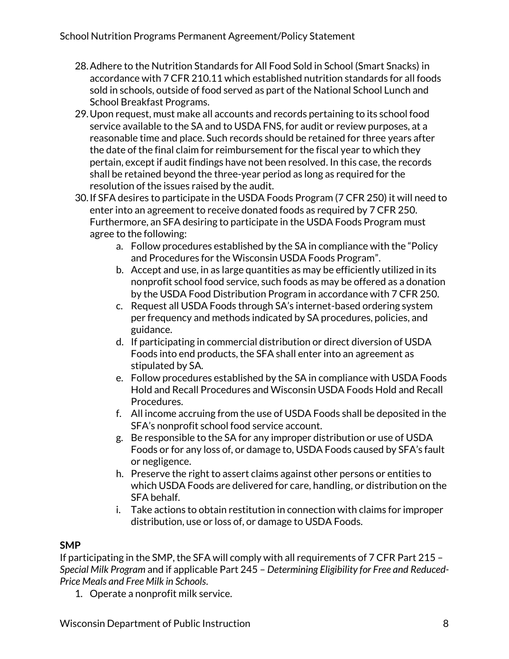- 28.Adhere to the Nutrition Standards for All Food Sold in School (Smart Snacks) in accordance with 7 CFR 210.11 which established nutrition standards for all foods sold in schools, outside of food served as part of the National School Lunch and School Breakfast Programs.
- 29.Upon request, must make all accounts and records pertaining to its school food service available to the SA and to USDA FNS, for audit or review purposes, at a reasonable time and place. Such records should be retained for three years after the date of the final claim for reimbursement for the fiscal year to which they pertain, except if audit findings have not been resolved. In this case, the records shall be retained beyond the three-year period as long as required for the resolution of the issues raised by the audit.
- 30.If SFA desires to participate in the USDA Foods Program (7 CFR 250) it will need to enter into an agreement to receive donated foods as required by 7 CFR 250. Furthermore, an SFA desiring to participate in the USDA Foods Program must agree to the following:
	- a. Follow procedures established by the SA in compliance with the "Policy and Procedures for the Wisconsin USDA Foods Program".
	- b. Accept and use, in as large quantities as may be efficiently utilized in its nonprofit school food service, such foods as may be offered as a donation by the USDA Food Distribution Program in accordance with 7 CFR 250.
	- c. Request all USDA Foods through SA's internet-based ordering system per frequency and methods indicated by SA procedures, policies, and guidance.
	- d. If participating in commercial distribution or direct diversion of USDA Foods into end products, the SFA shall enter into an agreement as stipulated by SA.
	- e. Follow procedures established by the SA in compliance with USDA Foods Hold and Recall Procedures and Wisconsin USDA Foods Hold and Recall Procedures.
	- f. All income accruing from the use of USDA Foods shall be deposited in the SFA's nonprofit school food service account.
	- g. Be responsible to the SA for any improper distribution or use of USDA Foods or for any loss of, or damage to, USDA Foods caused by SFA's fault or negligence.
	- h. Preserve the right to assert claims against other persons or entities to which USDA Foods are delivered for care, handling, or distribution on the SFA behalf.
	- i. Take actions to obtain restitution in connection with claims for improper distribution, use or loss of, or damage to USDA Foods.

### **SMP**

If participating in the SMP, the SFA will comply with all requirements of 7 CFR Part 215 – *Special Milk Program* and if applicable Part 245 – *Determining Eligibility for Free and Reduced-Price Meals and Free Milk in Schools*.

1. Operate a nonprofit milk service.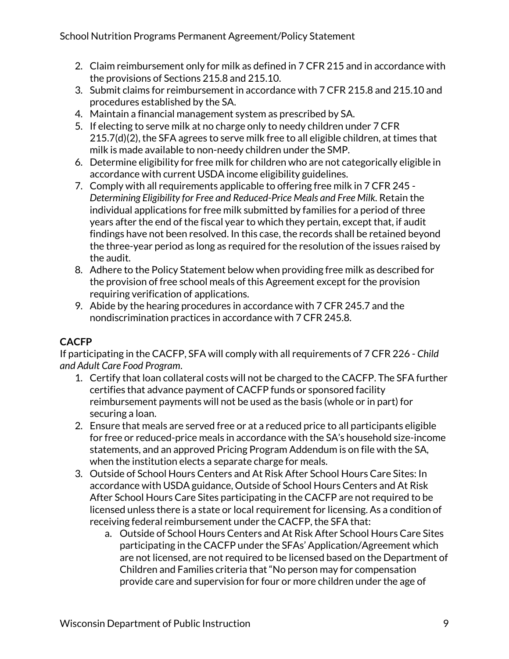- 2. Claim reimbursement only for milk as defined in 7 CFR 215 and in accordance with the provisions of Sections 215.8 and 215.10.
- 3. Submit claims for reimbursement in accordance with 7 CFR 215.8 and 215.10 and procedures established by the SA.
- 4. Maintain a financial management system as prescribed by SA.
- 5. If electing to serve milk at no charge only to needy children under 7 CFR 215.7(d)(2), the SFA agrees to serve milk free to all eligible children, at times that milk is made available to non-needy children under the SMP.
- 6. Determine eligibility for free milk for children who are not categorically eligible in accordance with current USDA income eligibility guidelines.
- 7. Comply with all requirements applicable to offering free milk in 7 CFR 245 *Determining Eligibility for Free and Reduced-Price Meals and Free Milk.* Retain the individual applications for free milk submitted by families for a period of three years after the end of the fiscal year to which they pertain, except that, if audit findings have not been resolved. In this case, the records shall be retained beyond the three-year period as long as required for the resolution of the issues raised by the audit.
- 8. Adhere to the Policy Statement below when providing free milk as described for the provision of free school meals of this Agreement except for the provision requiring verification of applications.
- 9. Abide by the hearing procedures in accordance with 7 CFR 245.7 and the nondiscrimination practices in accordance with 7 CFR 245.8.

### **CACFP**

If participating in the CACFP, SFA will comply with all requirements of 7 CFR 226 - *Child and Adult Care Food Program*.

- 1. Certify that loan collateral costs will not be charged to the CACFP. The SFA further certifies that advance payment of CACFP funds or sponsored facility reimbursement payments will not be used as the basis (whole or in part) for securing a loan.
- 2. Ensure that meals are served free or at a reduced price to all participants eligible for free or reduced-price meals in accordance with the SA's household size-income statements, and an approved Pricing Program Addendum is on file with the SA, when the institution elects a separate charge for meals.
- 3. Outside of School Hours Centers and At Risk After School Hours Care Sites: In accordance with USDA guidance, Outside of School Hours Centers and At Risk After School Hours Care Sites participating in the CACFP are not required to be licensed unless there is a state or local requirement for licensing. As a condition of receiving federal reimbursement under the CACFP, the SFA that:
	- a. Outside of School Hours Centers and At Risk After School Hours Care Sites participating in the CACFP under the SFAs' Application/Agreement which are not licensed, are not required to be licensed based on the Department of Children and Families criteria that "No person may for compensation provide care and supervision for four or more children under the age of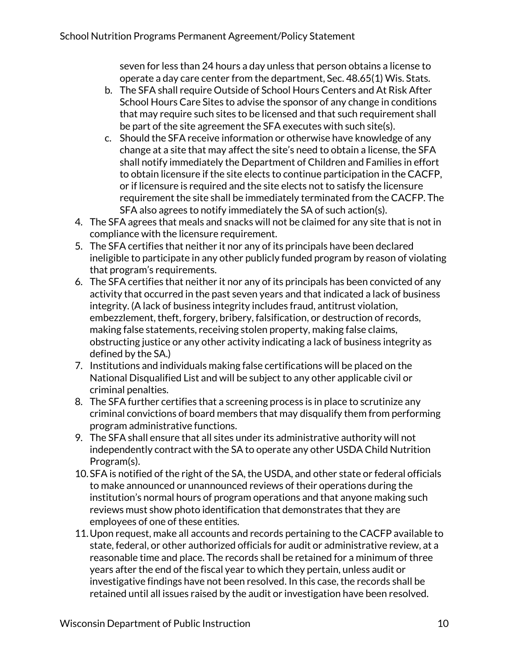seven for less than 24 hours a day unless that person obtains a license to operate a day care center from the department, Sec. 48.65(1) Wis. Stats.

- b. The SFA shall require Outside of School Hours Centers and At Risk After School Hours Care Sites to advise the sponsor of any change in conditions that may require such sites to be licensed and that such requirement shall be part of the site agreement the SFA executes with such site(s).
- c. Should the SFA receive information or otherwise have knowledge of any change at a site that may affect the site's need to obtain a license, the SFA shall notify immediately the Department of Children and Families in effort to obtain licensure if the site elects to continue participation in the CACFP, or if licensure is required and the site elects not to satisfy the licensure requirement the site shall be immediately terminated from the CACFP. The SFA also agrees to notify immediately the SA of such action(s).
- 4. The SFA agrees that meals and snacks will not be claimed for any site that is not in compliance with the licensure requirement.
- 5. The SFA certifies that neither it nor any of its principals have been declared ineligible to participate in any other publicly funded program by reason of violating that program's requirements.
- 6. The SFA certifies that neither it nor any of its principals has been convicted of any activity that occurred in the past seven years and that indicated a lack of business integrity. (A lack of business integrity includes fraud, antitrust violation, embezzlement, theft, forgery, bribery, falsification, or destruction of records, making false statements, receiving stolen property, making false claims, obstructing justice or any other activity indicating a lack of business integrity as defined by the SA.)
- 7. Institutions and individuals making false certifications will be placed on the National Disqualified List and will be subject to any other applicable civil or criminal penalties.
- 8. The SFA further certifies that a screening process is in place to scrutinize any criminal convictions of board members that may disqualify them from performing program administrative functions.
- 9. The SFA shall ensure that all sites under its administrative authority will not independently contract with the SA to operate any other USDA Child Nutrition Program(s).
- 10.SFA is notified of the right of the SA, the USDA, and other state or federal officials to make announced or unannounced reviews of their operations during the institution's normal hours of program operations and that anyone making such reviews must show photo identification that demonstrates that they are employees of one of these entities.
- 11.Upon request, make all accounts and records pertaining to the CACFP available to state, federal, or other authorized officials for audit or administrative review, at a reasonable time and place. The records shall be retained for a minimum of three years after the end of the fiscal year to which they pertain, unless audit or investigative findings have not been resolved. In this case, the records shall be retained until all issues raised by the audit or investigation have been resolved.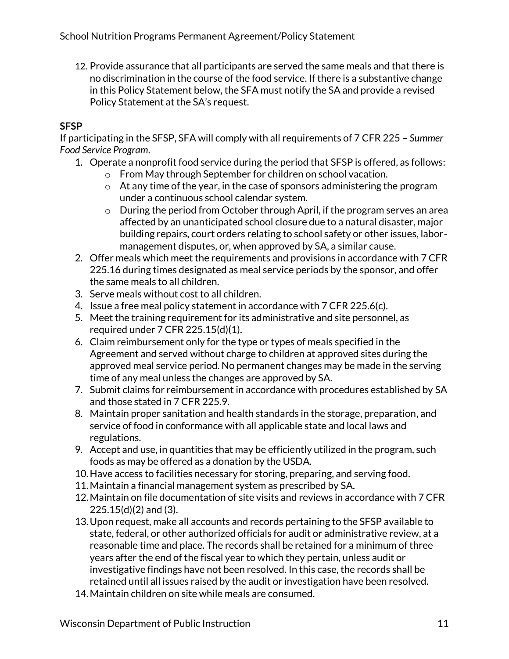12. Provide assurance that all participants are served the same meals and that there is no discrimination in the course of the food service. If there is a substantive change in this Policy Statement below, the SFA must notify the SA and provide a revised Policy Statement at the SA's request.

### **SFSP**

If participating in the SFSP, SFA will comply with all requirements of 7 CFR 225 – *Summer Food Service Program*.

- 1. Operate a nonprofit food service during the period that SFSP is offered, as follows:
	- o From May through September for children on school vacation.
	- o At any time of the year, in the case of sponsors administering the program under a continuous school calendar system.
	- o During the period from October through April, if the program serves an area affected by an unanticipated school closure due to a natural disaster, major building repairs, court orders relating to school safety or other issues, labormanagement disputes, or, when approved by SA, a similar cause.
- 2. Offer meals which meet the requirements and provisions in accordance with 7 CFR 225.16 during times designated as meal service periods by the sponsor, and offer the same meals to all children.
- 3. Serve meals without cost to all children.
- 4. Issue a free meal policy statement in accordance with 7 CFR 225.6(c).
- 5. Meet the training requirement for its administrative and site personnel, as required under 7 CFR 225.15(d)(1).
- 6. Claim reimbursement only for the type or types of meals specified in the Agreement and served without charge to children at approved sites during the approved meal service period. No permanent changes may be made in the serving time of any meal unless the changes are approved by SA.
- 7. Submit claims for reimbursement in accordance with procedures established by SA and those stated in 7 CFR 225.9.
- 8. Maintain proper sanitation and health standards in the storage, preparation, and service of food in conformance with all applicable state and local laws and regulations.
- 9. Accept and use, in quantities that may be efficiently utilized in the program, such foods as may be offered as a donation by the USDA.
- 10.Have access to facilities necessary for storing, preparing, and serving food.
- 11.Maintain a financial management system as prescribed by SA.
- 12.Maintain on file documentation of site visits and reviews in accordance with 7 CFR 225.15(d)(2) and (3).
- 13.Upon request, make all accounts and records pertaining to the SFSP available to state, federal, or other authorized officials for audit or administrative review, at a reasonable time and place. The records shall be retained for a minimum of three years after the end of the fiscal year to which they pertain, unless audit or investigative findings have not been resolved. In this case, the records shall be retained until all issues raised by the audit or investigation have been resolved.
- 14.Maintain children on site while meals are consumed.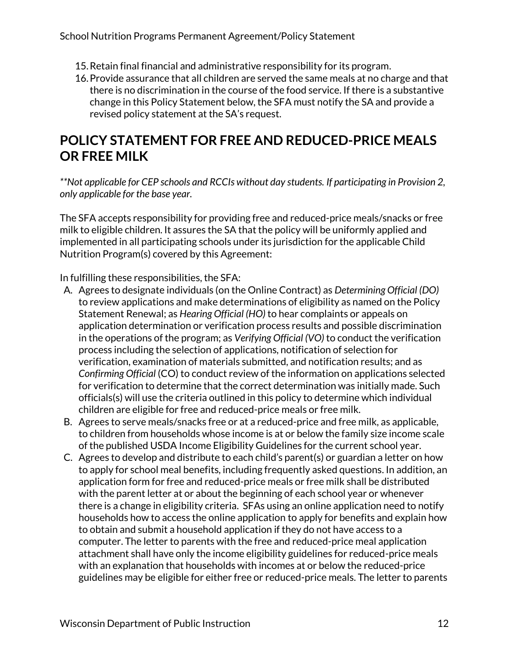- 15.Retain final financial and administrative responsibility for its program.
- 16.Provide assurance that all children are served the same meals at no charge and that there is no discrimination in the course of the food service. If there is a substantive change in this Policy Statement below, the SFA must notify the SA and provide a revised policy statement at the SA's request.

# **POLICY STATEMENT FOR FREE AND REDUCED-PRICE MEALS OR FREE MILK**

*\*\*Not applicable for CEP schools and RCCIs without day students. If participating in Provision 2, only applicable for the base year.*

The SFA accepts responsibility for providing free and reduced-price meals/snacks or free milk to eligible children. It assures the SA that the policy will be uniformly applied and implemented in all participating schools under its jurisdiction for the applicable Child Nutrition Program(s) covered by this Agreement:

In fulfilling these responsibilities, the SFA:

- A. Agrees to designate individuals (on the Online Contract) as *Determining Official (DO)* to review applications and make determinations of eligibility as named on the Policy Statement Renewal; as *Hearing Official (HO)* to hear complaints or appeals on application determination or verification process results and possible discrimination in the operations of the program; as *Verifying Official (VO)* to conduct the verification process including the selection of applications, notification of selection for verification, examination of materials submitted, and notification results; and as *Confirming Official* (CO) to conduct review of the information on applications selected for verification to determine that the correct determination was initially made. Such officials(s) will use the criteria outlined in this policy to determine which individual children are eligible for free and reduced-price meals or free milk.
- B. Agrees to serve meals/snacks free or at a reduced-price and free milk, as applicable, to children from households whose income is at or below the family size income scale of the published USDA Income Eligibility Guidelines for the current school year.
- C. Agrees to develop and distribute to each child's parent(s) or guardian a letter on how to apply for school meal benefits, including frequently asked questions. In addition, an application form for free and reduced-price meals or free milk shall be distributed with the parent letter at or about the beginning of each school year or whenever there is a change in eligibility criteria. SFAs using an online application need to notify households how to access the online application to apply for benefits and explain how to obtain and submit a household application if they do not have access to a computer. The letter to parents with the free and reduced-price meal application attachment shall have only the income eligibility guidelines for reduced-price meals with an explanation that households with incomes at or below the reduced-price guidelines may be eligible for either free or reduced-price meals. The letter to parents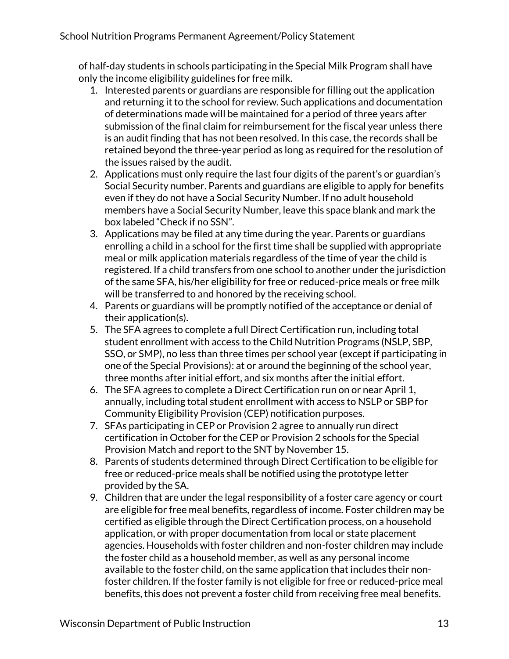of half-day students in schools participating in the Special Milk Program shall have only the income eligibility guidelines for free milk.

- 1. Interested parents or guardians are responsible for filling out the application and returning it to the school for review. Such applications and documentation of determinations made will be maintained for a period of three years after submission of the final claim for reimbursement for the fiscal year unless there is an audit finding that has not been resolved. In this case, the records shall be retained beyond the three-year period as long as required for the resolution of the issues raised by the audit.
- 2. Applications must only require the last four digits of the parent's or guardian's Social Security number. Parents and guardians are eligible to apply for benefits even if they do not have a Social Security Number. If no adult household members have a Social Security Number, leave this space blank and mark the box labeled "Check if no SSN".
- 3. Applications may be filed at any time during the year. Parents or guardians enrolling a child in a school for the first time shall be supplied with appropriate meal or milk application materials regardless of the time of year the child is registered. If a child transfers from one school to another under the jurisdiction of the same SFA, his/her eligibility for free or reduced-price meals or free milk will be transferred to and honored by the receiving school.
- 4. Parents or guardians will be promptly notified of the acceptance or denial of their application(s).
- 5. The SFA agrees to complete a full Direct Certification run, including total student enrollment with access to the Child Nutrition Programs (NSLP, SBP, SSO, or SMP), no less than three times per school year (except if participating in one of the Special Provisions): at or around the beginning of the school year, three months after initial effort, and six months after the initial effort.
- 6. The SFA agrees to complete a Direct Certification run on or near April 1, annually, including total student enrollment with access to NSLP or SBP for Community Eligibility Provision (CEP) notification purposes.
- 7. SFAs participating in CEP or Provision 2 agree to annually run direct certification in October for the CEP or Provision 2 schools for the Special Provision Match and report to the SNT by November 15.
- 8. Parents of students determined through Direct Certification to be eligible for free or reduced-price meals shall be notified using the prototype letter provided by the SA.
- 9. Children that are under the legal responsibility of a foster care agency or court are eligible for free meal benefits, regardless of income. Foster children may be certified as eligible through the Direct Certification process, on a household application, or with proper documentation from local or state placement agencies. Households with foster children and non-foster children may include the foster child as a household member, as well as any personal income available to the foster child, on the same application that includes their nonfoster children. If the foster family is not eligible for free or reduced-price meal benefits, this does not prevent a foster child from receiving free meal benefits.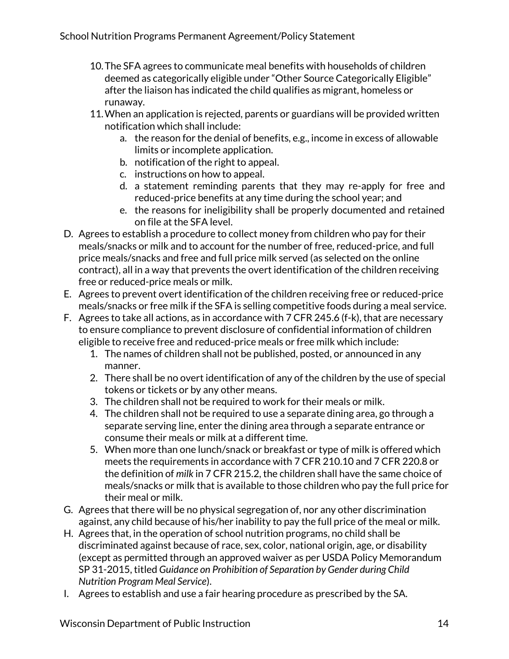- 10.The SFA agrees to communicate meal benefits with households of children deemed as categorically eligible under "Other Source Categorically Eligible" after the liaison has indicated the child qualifies as migrant, homeless or runaway.
- 11.When an application is rejected, parents or guardians will be provided written notification which shall include:
	- a. the reason for the denial of benefits, e.g., income in excess of allowable limits or incomplete application.
	- b. notification of the right to appeal.
	- c. instructions on how to appeal.
	- d. a statement reminding parents that they may re-apply for free and reduced-price benefits at any time during the school year; and
	- e. the reasons for ineligibility shall be properly documented and retained on file at the SFA level.
- D. Agrees to establish a procedure to collect money from children who pay for their meals/snacks or milk and to account for the number of free, reduced-price, and full price meals/snacks and free and full price milk served (as selected on the online contract), all in a way that prevents the overt identification of the children receiving free or reduced-price meals or milk.
- E. Agrees to prevent overt identification of the children receiving free or reduced-price meals/snacks or free milk if the SFA is selling competitive foods during a meal service.
- F. Agrees to take all actions, as in accordance with 7 CFR 245.6 (f-k), that are necessary to ensure compliance to prevent disclosure of confidential information of children eligible to receive free and reduced-price meals or free milk which include:
	- 1. The names of children shall not be published, posted, or announced in any manner.
	- 2. There shall be no overt identification of any of the children by the use of special tokens or tickets or by any other means.
	- 3. The children shall not be required to work for their meals or milk.
	- 4. The children shall not be required to use a separate dining area, go through a separate serving line, enter the dining area through a separate entrance or consume their meals or milk at a different time.
	- 5. When more than one lunch/snack or breakfast or type of milk is offered which meets the requirements in accordance with 7 CFR 210.10 and 7 CFR 220.8 or the definition of *milk* in 7 CFR 215.2, the children shall have the same choice of meals/snacks or milk that is available to those children who pay the full price for their meal or milk.
- G. Agrees that there will be no physical segregation of, nor any other discrimination against, any child because of his/her inability to pay the full price of the meal or milk.
- H. Agrees that, in the operation of school nutrition programs, no child shall be discriminated against because of race, sex, color, national origin, age, or disability (except as permitted through an approved waiver as per USDA Policy Memorandum SP 31-2015, titled *Guidance on Prohibition of Separation by Gender during Child Nutrition Program Meal Service*).
- I. Agrees to establish and use a fair hearing procedure as prescribed by the SA.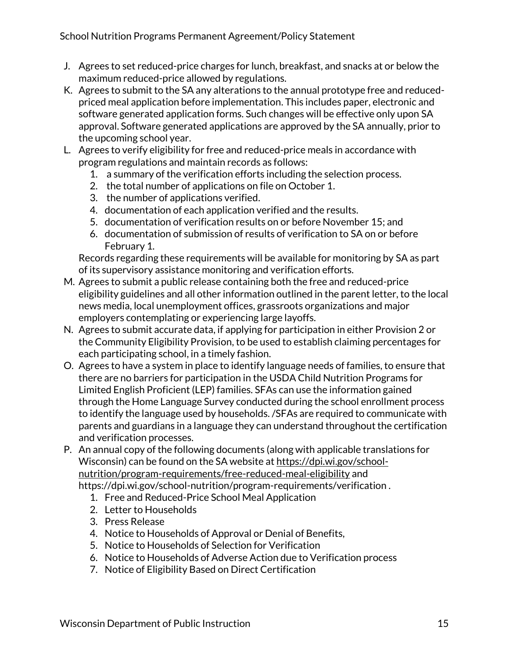#### School Nutrition Programs Permanent Agreement/Policy Statement

- J. Agrees to set reduced-price charges for lunch, breakfast, and snacks at or below the maximum reduced-price allowed by regulations.
- K. Agrees to submit to the SA any alterations to the annual prototype free and reducedpriced meal application before implementation. This includes paper, electronic and software generated application forms. Such changes will be effective only upon SA approval. Software generated applications are approved by the SA annually, prior to the upcoming school year.
- L. Agrees to verify eligibility for free and reduced-price meals in accordance with program regulations and maintain records as follows:
	- 1. a summary of the verification efforts including the selection process.
	- 2. the total number of applications on file on October 1.
	- 3. the number of applications verified.
	- 4. documentation of each application verified and the results.
	- 5. documentation of verification results on or before November 15; and
	- 6. documentation of submission of results of verification to SA on or before February 1.

Records regarding these requirements will be available for monitoring by SA as part of its supervisory assistance monitoring and verification efforts.

- M. Agrees to submit a public release containing both the free and reduced-price eligibility guidelines and all other information outlined in the parent letter, to the local news media, local unemployment offices, grassroots organizations and major employers contemplating or experiencing large layoffs.
- N. Agrees to submit accurate data, if applying for participation in either Provision 2 or the Community Eligibility Provision, to be used to establish claiming percentages for each participating school, in a timely fashion.
- O. Agrees to have a system in place to identify language needs of families, to ensure that there are no barriers for participation in the USDA Child Nutrition Programs for Limited English Proficient (LEP) families. SFAs can use the information gained through the Home Language Survey conducted during the school enrollment process to identify the language used by households. /SFAs are required to communicate with parents and guardians in a language they can understand throughout the certification and verification processes.
- P. An annual copy of the following documents (along with applicable translations for Wisconsin) can be found on the SA website a[t https://dpi.wi.gov/school](https://dpi.wi.gov/school-nutrition/program-requirements/free-reduced-meal-eligibility)[nutrition/program-requirements/free-reduced-meal-eligibility](https://dpi.wi.gov/school-nutrition/program-requirements/free-reduced-meal-eligibility) and https://dpi.wi.gov/school-nutrition/program-requirements/verification .
	- 1. Free and Reduced-Price School Meal Application
	- 2. Letter to Households
	- 3. Press Release
	- 4. Notice to Households of Approval or Denial of Benefits,
	- 5. Notice to Households of Selection for Verification
	- 6. Notice to Households of Adverse Action due to Verification process
	- 7. Notice of Eligibility Based on Direct Certification